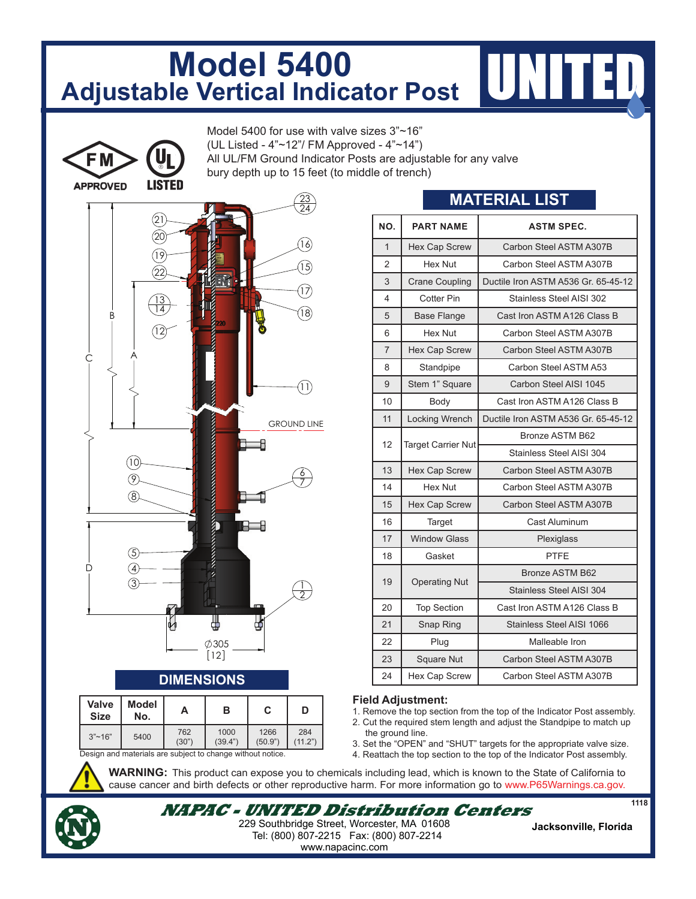## **Model 5400 Adjustable Vertical Indicator Post**

Model 5400 for use with valve sizes 3"~16" (UL Listed - 4"~12"/ FM Approved - 4"~14")

All UL/FM Ground Indicator Posts are adjustable for any valve

bury depth up to 15 feet (to middle of trench)





## **DIMENSIONS**

| <b>Valve</b><br><b>Size</b>                               | Model<br>No. | А            | в               | С               | D              |
|-----------------------------------------------------------|--------------|--------------|-----------------|-----------------|----------------|
| $3"$ ~16"                                                 | 5400         | 762<br>(30") | 1000<br>(39.4") | 1266<br>(50.9") | 284<br>(11.2") |
| Cooign and motorials are oubject to change without notice |              |              |                 |                 |                |

d materials are subject to change without notice.

| NO.            | <b>PART NAME</b>          | <b>ASTM SPEC.</b>                   |  |
|----------------|---------------------------|-------------------------------------|--|
|                |                           |                                     |  |
| $\mathbf{1}$   | <b>Hex Cap Screw</b>      | Carbon Steel ASTM A307B             |  |
| $\overline{2}$ | Hex Nut                   | Carbon Steel ASTM A307B             |  |
| 3              | <b>Crane Coupling</b>     | Ductile Iron ASTM A536 Gr. 65-45-12 |  |
| 4              | Cotter Pin                | Stainless Steel AISI 302            |  |
| 5              | <b>Base Flange</b>        | Cast Iron ASTM A126 Class B         |  |
| 6              | Hex Nut                   | Carbon Steel ASTM A307B             |  |
| $\overline{7}$ | Hex Cap Screw             | Carbon Steel ASTM A307B             |  |
| 8              | Standpipe                 | Carbon Steel ASTM A53               |  |
| 9              | Stem 1" Square            | Carbon Steel AISI 1045              |  |
| 10             | Body                      | Cast Iron ASTM A126 Class B         |  |
| 11             | <b>Locking Wrench</b>     | Ductile Iron ASTM A536 Gr. 65-45-12 |  |
| 12             |                           | Bronze ASTM B62                     |  |
|                | <b>Target Carrier Nut</b> | Stainless Steel AISI 304            |  |
| 13             | Hex Cap Screw             | Carbon Steel ASTM A307B             |  |
| 14             | Hex Nut                   | Carbon Steel ASTM A307B             |  |
| 15             | Hex Cap Screw             | Carbon Steel ASTM A307B             |  |
| 16             | Target                    | Cast Aluminum                       |  |
| 17             | <b>Window Glass</b>       | Plexiglass                          |  |
| 18             | Gasket                    | <b>PTFE</b>                         |  |
| 19             |                           | Bronze ASTM B62                     |  |
|                | <b>Operating Nut</b>      | Stainless Steel AISI 304            |  |
| 20             | <b>Top Section</b>        | Cast Iron ASTM A126 Class B         |  |
| 21             | Snap Ring                 | Stainless Steel AISI 1066           |  |
| 22             | Plug                      | Malleable Iron                      |  |
| 23             | Square Nut                | Carbon Steel ASTM A307B             |  |

**MATERIAL LIST**

## **Field Adjustment:**

1. Remove the top section from the top of the Indicator Post assembly.

24 | Hex Cap Screw | Carbon Steel ASTM A307B

- 2. Cut the required stem length and adjust the Standpipe to match up the ground line.
- 3. Set the "OPEN" and "SHUT" targets for the appropriate valve size.
- 4. Reattach the top section to the top of the Indicator Post assembly.

**WARNING:** This product can expose you to chemicals including lead, which is known to the State of California to cause cancer and birth defects or other reproductive harm. For more information go to www.P65Warnings.ca.gov.



**NAPAC - UNITED Distribution Centers** Tel: (800) 807-2215 Fax: (800) 807-2214 **Jacksonville, Florida** 229 Southbridge Street, Worcester, MA 01608 www.napacinc.com

**1118**